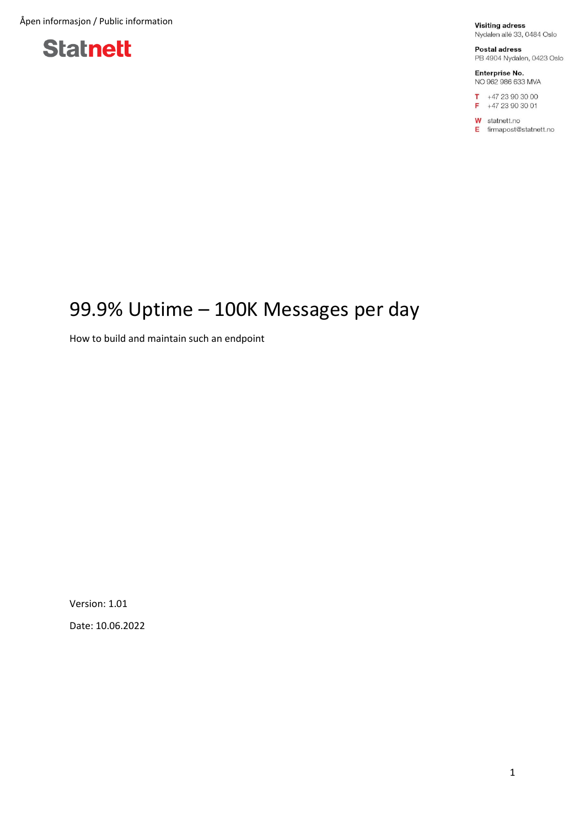Åpen informasjon / Public information



**Visiting adress** Nydalen allé 33, 0484 Oslo

Postal adress PB 4904 Nydalen, 0423 Oslo

Enterprise No. NO 962 986 633 MVA

 $T + 4723903000$  $F +4723903001$ 

**W** statnett.no E firmapost@statnett.no

## 99.9% Uptime – 100K Messages per day

How to build and maintain such an endpoint

Version: 1.01 Date: 10.06.2022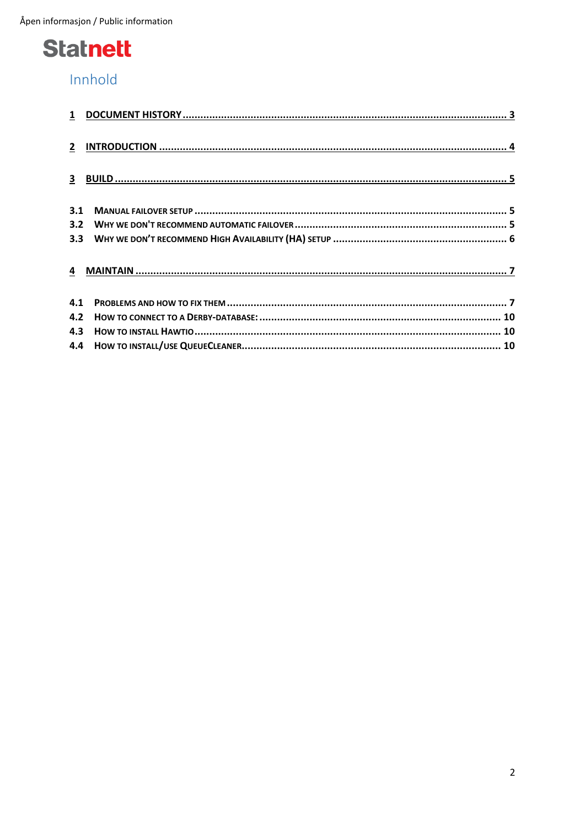## Innhold

| 3.1 |  |
|-----|--|
|     |  |
|     |  |
|     |  |
| 4.1 |  |
|     |  |
|     |  |
|     |  |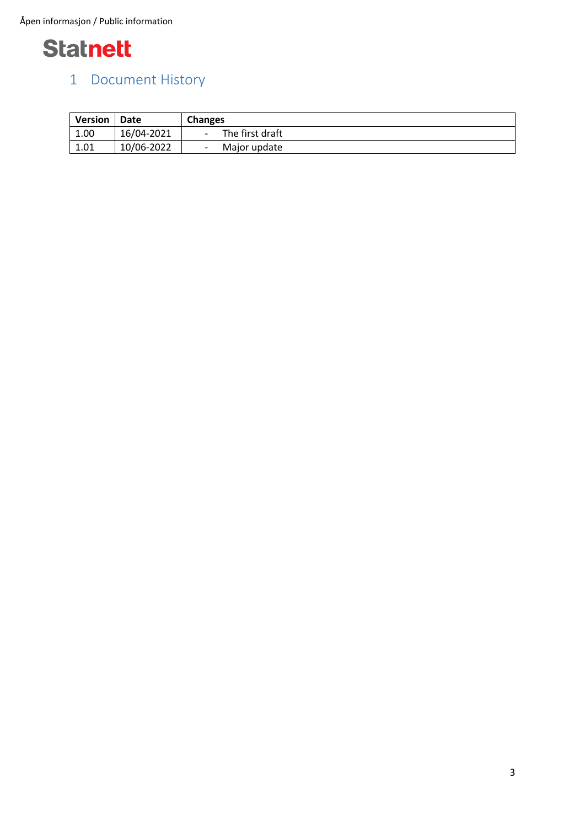

### <span id="page-2-0"></span>1 Document History

| <b>Version</b> | Date       | <b>Changes</b>  |
|----------------|------------|-----------------|
| 1.00           | 16/04-2021 | The first draft |
| 1.01           | 10/06-2022 | Major update    |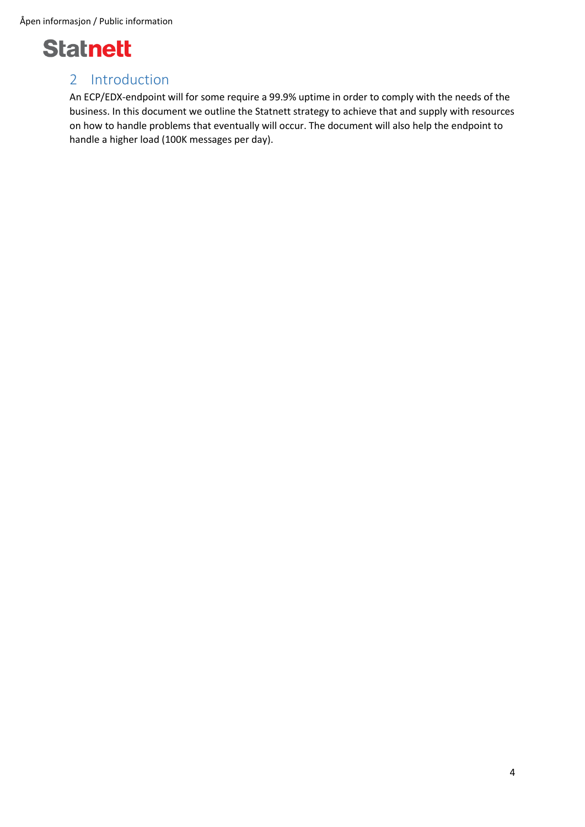Åpen informasjon / Public information



### <span id="page-3-0"></span>2 Introduction

An ECP/EDX-endpoint will for some require a 99.9% uptime in order to comply with the needs of the business. In this document we outline the Statnett strategy to achieve that and supply with resources on how to handle problems that eventually will occur. The document will also help the endpoint to handle a higher load (100K messages per day).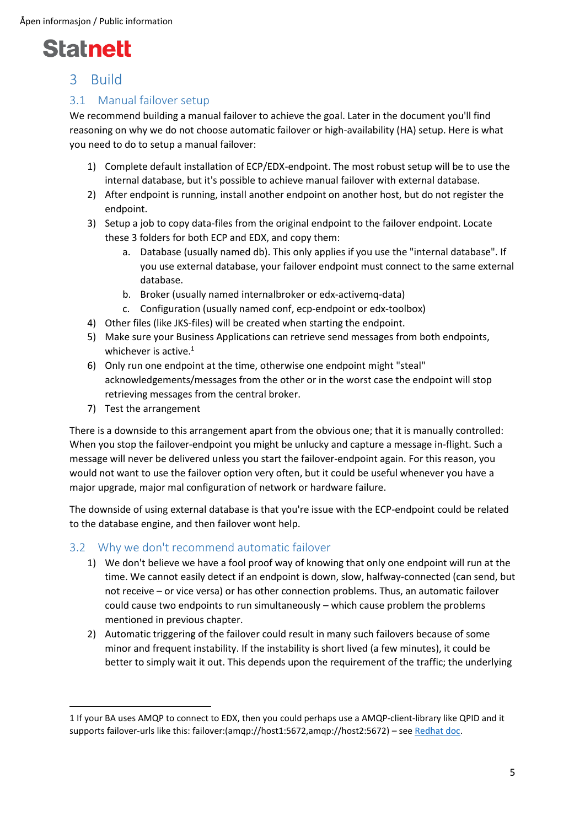

### <span id="page-4-0"></span>3 Build

#### <span id="page-4-1"></span>3.1 Manual failover setup

We recommend building a manual failover to achieve the goal. Later in the document you'll find reasoning on why we do not choose automatic failover or high-availability (HA) setup. Here is what you need to do to setup a manual failover:

- 1) Complete default installation of ECP/EDX-endpoint. The most robust setup will be to use the internal database, but it's possible to achieve manual failover with external database.
- 2) After endpoint is running, install another endpoint on another host, but do not register the endpoint.
- 3) Setup a job to copy data-files from the original endpoint to the failover endpoint. Locate these 3 folders for both ECP and EDX, and copy them:
	- a. Database (usually named db). This only applies if you use the "internal database". If you use external database, your failover endpoint must connect to the same external database.
	- b. Broker (usually named internalbroker or edx-activemq-data)
	- c. Configuration (usually named conf, ecp-endpoint or edx-toolbox)
- 4) Other files (like JKS-files) will be created when starting the endpoint.
- 5) Make sure your Business Applications can retrieve send messages from both endpoints, whichever is active. $1$
- 6) Only run one endpoint at the time, otherwise one endpoint might "steal" acknowledgements/messages from the other or in the worst case the endpoint will stop retrieving messages from the central broker.
- 7) Test the arrangement

There is a downside to this arrangement apart from the obvious one; that it is manually controlled: When you stop the failover-endpoint you might be unlucky and capture a message in-flight. Such a message will never be delivered unless you start the failover-endpoint again. For this reason, you would not want to use the failover option very often, but it could be useful whenever you have a major upgrade, major mal configuration of network or hardware failure.

The downside of using external database is that you're issue with the ECP-endpoint could be related to the database engine, and then failover wont help.

#### <span id="page-4-2"></span>3.2 Why we don't recommend automatic failover

- 1) We don't believe we have a fool proof way of knowing that only one endpoint will run at the time. We cannot easily detect if an endpoint is down, slow, halfway-connected (can send, but not receive – or vice versa) or has other connection problems. Thus, an automatic failover could cause two endpoints to run simultaneously – which cause problem the problems mentioned in previous chapter.
- 2) Automatic triggering of the failover could result in many such failovers because of some minor and frequent instability. If the instability is short lived (a few minutes), it could be better to simply wait it out. This depends upon the requirement of the traffic; the underlying

<sup>1</sup> If your BA uses AMQP to connect to EDX, then you could perhaps use a AMQP-client-library like QPID and it supports failover-urls like this: failover:(amqp://host1:5672,amqp://host2:5672) – see [Redhat doc.](https://access.redhat.com/documentation/en-us/red_hat_enterprise_mrg/3/html/messaging_programming_reference/qpid_amqp_1.0_jms_client_connection_urls)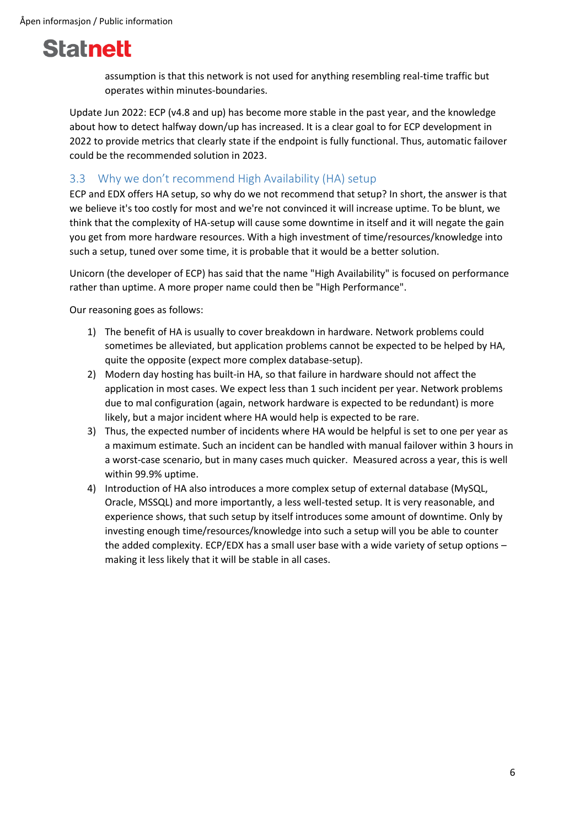assumption is that this network is not used for anything resembling real-time traffic but operates within minutes-boundaries.

Update Jun 2022: ECP (v4.8 and up) has become more stable in the past year, and the knowledge about how to detect halfway down/up has increased. It is a clear goal to for ECP development in 2022 to provide metrics that clearly state if the endpoint is fully functional. Thus, automatic failover could be the recommended solution in 2023.

### <span id="page-5-0"></span>3.3 Why we don't recommend High Availability (HA) setup

ECP and EDX offers HA setup, so why do we not recommend that setup? In short, the answer is that we believe it's too costly for most and we're not convinced it will increase uptime. To be blunt, we think that the complexity of HA-setup will cause some downtime in itself and it will negate the gain you get from more hardware resources. With a high investment of time/resources/knowledge into such a setup, tuned over some time, it is probable that it would be a better solution.

Unicorn (the developer of ECP) has said that the name "High Availability" is focused on performance rather than uptime. A more proper name could then be "High Performance".

Our reasoning goes as follows:

- 1) The benefit of HA is usually to cover breakdown in hardware. Network problems could sometimes be alleviated, but application problems cannot be expected to be helped by HA, quite the opposite (expect more complex database-setup).
- 2) Modern day hosting has built-in HA, so that failure in hardware should not affect the application in most cases. We expect less than 1 such incident per year. Network problems due to mal configuration (again, network hardware is expected to be redundant) is more likely, but a major incident where HA would help is expected to be rare.
- 3) Thus, the expected number of incidents where HA would be helpful is set to one per year as a maximum estimate. Such an incident can be handled with manual failover within 3 hours in a worst-case scenario, but in many cases much quicker. Measured across a year, this is well within 99.9% uptime.
- 4) Introduction of HA also introduces a more complex setup of external database (MySQL, Oracle, MSSQL) and more importantly, a less well-tested setup. It is very reasonable, and experience shows, that such setup by itself introduces some amount of downtime. Only by investing enough time/resources/knowledge into such a setup will you be able to counter the added complexity. ECP/EDX has a small user base with a wide variety of setup options – making it less likely that it will be stable in all cases.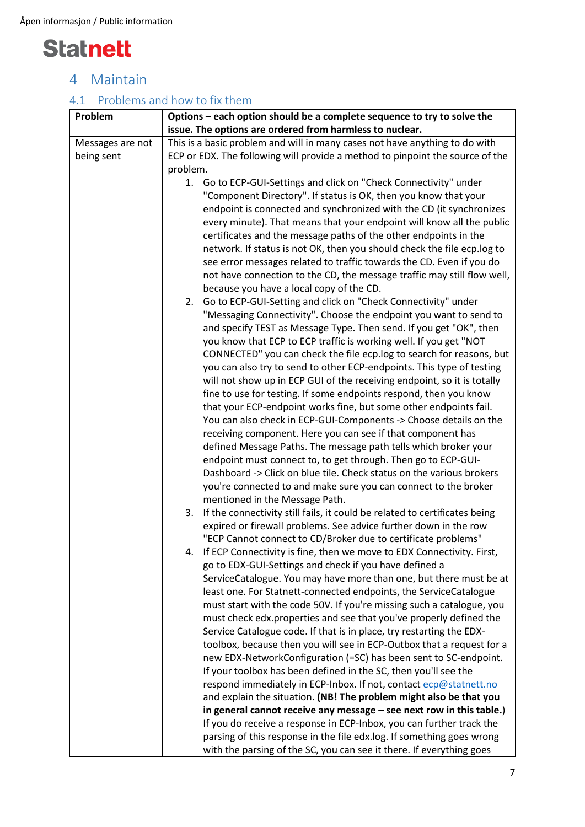

### <span id="page-6-0"></span>4 Maintain

### <span id="page-6-1"></span>4.1 Problems and how to fix them

| Options – each option should be a complete sequence to try to solve the                                                                   |  |  |
|-------------------------------------------------------------------------------------------------------------------------------------------|--|--|
| issue. The options are ordered from harmless to nuclear.                                                                                  |  |  |
| This is a basic problem and will in many cases not have anything to do with                                                               |  |  |
| ECP or EDX. The following will provide a method to pinpoint the source of the                                                             |  |  |
| problem.                                                                                                                                  |  |  |
| 1. Go to ECP-GUI-Settings and click on "Check Connectivity" under                                                                         |  |  |
| "Component Directory". If status is OK, then you know that your                                                                           |  |  |
| endpoint is connected and synchronized with the CD (it synchronizes                                                                       |  |  |
| every minute). That means that your endpoint will know all the public                                                                     |  |  |
| certificates and the message paths of the other endpoints in the                                                                          |  |  |
| network. If status is not OK, then you should check the file ecp.log to                                                                   |  |  |
| see error messages related to traffic towards the CD. Even if you do                                                                      |  |  |
| not have connection to the CD, the message traffic may still flow well,                                                                   |  |  |
| because you have a local copy of the CD.                                                                                                  |  |  |
| Go to ECP-GUI-Setting and click on "Check Connectivity" under<br>2.                                                                       |  |  |
| "Messaging Connectivity". Choose the endpoint you want to send to                                                                         |  |  |
| and specify TEST as Message Type. Then send. If you get "OK", then                                                                        |  |  |
| you know that ECP to ECP traffic is working well. If you get "NOT                                                                         |  |  |
| CONNECTED" you can check the file ecp.log to search for reasons, but                                                                      |  |  |
| you can also try to send to other ECP-endpoints. This type of testing                                                                     |  |  |
| will not show up in ECP GUI of the receiving endpoint, so it is totally                                                                   |  |  |
| fine to use for testing. If some endpoints respond, then you know                                                                         |  |  |
| that your ECP-endpoint works fine, but some other endpoints fail.                                                                         |  |  |
| You can also check in ECP-GUI-Components -> Choose details on the                                                                         |  |  |
| receiving component. Here you can see if that component has                                                                               |  |  |
| defined Message Paths. The message path tells which broker your                                                                           |  |  |
| endpoint must connect to, to get through. Then go to ECP-GUI-                                                                             |  |  |
| Dashboard -> Click on blue tile. Check status on the various brokers                                                                      |  |  |
| you're connected to and make sure you can connect to the broker                                                                           |  |  |
| mentioned in the Message Path.                                                                                                            |  |  |
| If the connectivity still fails, it could be related to certificates being<br>3.                                                          |  |  |
| expired or firewall problems. See advice further down in the row                                                                          |  |  |
| "ECP Cannot connect to CD/Broker due to certificate problems"                                                                             |  |  |
| If ECP Connectivity is fine, then we move to EDX Connectivity. First,<br>4.                                                               |  |  |
| go to EDX-GUI-Settings and check if you have defined a                                                                                    |  |  |
| ServiceCatalogue. You may have more than one, but there must be at                                                                        |  |  |
| least one. For Statnett-connected endpoints, the ServiceCatalogue                                                                         |  |  |
| must start with the code 50V. If you're missing such a catalogue, you                                                                     |  |  |
| must check edx.properties and see that you've properly defined the                                                                        |  |  |
| Service Catalogue code. If that is in place, try restarting the EDX-                                                                      |  |  |
| toolbox, because then you will see in ECP-Outbox that a request for a<br>new EDX-NetworkConfiguration (=SC) has been sent to SC-endpoint. |  |  |
| If your toolbox has been defined in the SC, then you'll see the                                                                           |  |  |
|                                                                                                                                           |  |  |
| respond immediately in ECP-Inbox. If not, contact ecp@statnett.no<br>and explain the situation. (NB! The problem might also be that you   |  |  |
| in general cannot receive any message - see next row in this table.)                                                                      |  |  |
| If you do receive a response in ECP-Inbox, you can further track the                                                                      |  |  |
| parsing of this response in the file edx.log. If something goes wrong                                                                     |  |  |
| with the parsing of the SC, you can see it there. If everything goes                                                                      |  |  |
|                                                                                                                                           |  |  |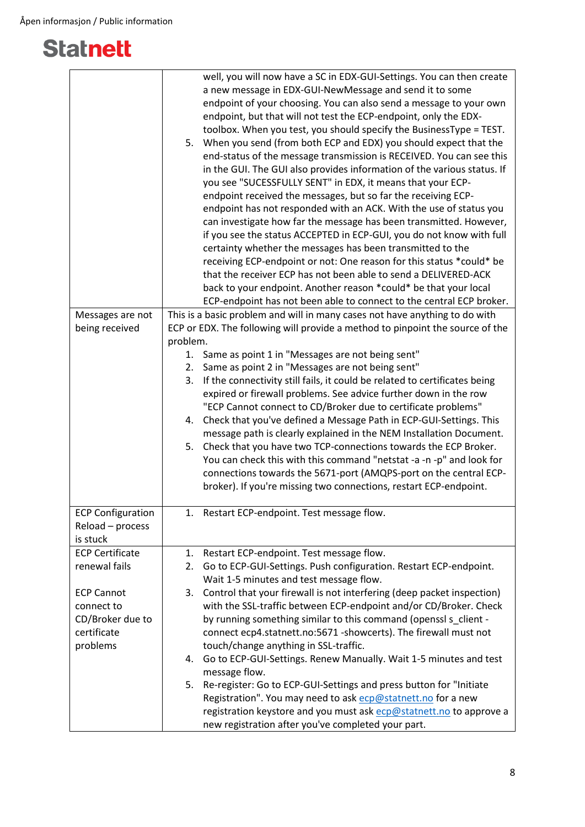|                          | well, you will now have a SC in EDX-GUI-Settings. You can then create<br>a new message in EDX-GUI-NewMessage and send it to some<br>endpoint of your choosing. You can also send a message to your own<br>endpoint, but that will not test the ECP-endpoint, only the EDX-<br>toolbox. When you test, you should specify the BusinessType = TEST.<br>When you send (from both ECP and EDX) you should expect that the<br>5.<br>end-status of the message transmission is RECEIVED. You can see this<br>in the GUI. The GUI also provides information of the various status. If<br>you see "SUCESSFULLY SENT" in EDX, it means that your ECP-<br>endpoint received the messages, but so far the receiving ECP-<br>endpoint has not responded with an ACK. With the use of status you<br>can investigate how far the message has been transmitted. However,<br>if you see the status ACCEPTED in ECP-GUI, you do not know with full<br>certainty whether the messages has been transmitted to the<br>receiving ECP-endpoint or not: One reason for this status *could* be<br>that the receiver ECP has not been able to send a DELIVERED-ACK |
|--------------------------|--------------------------------------------------------------------------------------------------------------------------------------------------------------------------------------------------------------------------------------------------------------------------------------------------------------------------------------------------------------------------------------------------------------------------------------------------------------------------------------------------------------------------------------------------------------------------------------------------------------------------------------------------------------------------------------------------------------------------------------------------------------------------------------------------------------------------------------------------------------------------------------------------------------------------------------------------------------------------------------------------------------------------------------------------------------------------------------------------------------------------------------------|
|                          | back to your endpoint. Another reason *could* be that your local<br>ECP-endpoint has not been able to connect to the central ECP broker.                                                                                                                                                                                                                                                                                                                                                                                                                                                                                                                                                                                                                                                                                                                                                                                                                                                                                                                                                                                                   |
| Messages are not         | This is a basic problem and will in many cases not have anything to do with                                                                                                                                                                                                                                                                                                                                                                                                                                                                                                                                                                                                                                                                                                                                                                                                                                                                                                                                                                                                                                                                |
| being received           | ECP or EDX. The following will provide a method to pinpoint the source of the                                                                                                                                                                                                                                                                                                                                                                                                                                                                                                                                                                                                                                                                                                                                                                                                                                                                                                                                                                                                                                                              |
|                          | problem.                                                                                                                                                                                                                                                                                                                                                                                                                                                                                                                                                                                                                                                                                                                                                                                                                                                                                                                                                                                                                                                                                                                                   |
|                          | Same as point 1 in "Messages are not being sent"<br>1.                                                                                                                                                                                                                                                                                                                                                                                                                                                                                                                                                                                                                                                                                                                                                                                                                                                                                                                                                                                                                                                                                     |
|                          | Same as point 2 in "Messages are not being sent"<br>2.                                                                                                                                                                                                                                                                                                                                                                                                                                                                                                                                                                                                                                                                                                                                                                                                                                                                                                                                                                                                                                                                                     |
|                          | If the connectivity still fails, it could be related to certificates being<br>3.                                                                                                                                                                                                                                                                                                                                                                                                                                                                                                                                                                                                                                                                                                                                                                                                                                                                                                                                                                                                                                                           |
|                          | expired or firewall problems. See advice further down in the row                                                                                                                                                                                                                                                                                                                                                                                                                                                                                                                                                                                                                                                                                                                                                                                                                                                                                                                                                                                                                                                                           |
|                          | "ECP Cannot connect to CD/Broker due to certificate problems"                                                                                                                                                                                                                                                                                                                                                                                                                                                                                                                                                                                                                                                                                                                                                                                                                                                                                                                                                                                                                                                                              |
|                          | Check that you've defined a Message Path in ECP-GUI-Settings. This<br>4.                                                                                                                                                                                                                                                                                                                                                                                                                                                                                                                                                                                                                                                                                                                                                                                                                                                                                                                                                                                                                                                                   |
|                          | message path is clearly explained in the NEM Installation Document.                                                                                                                                                                                                                                                                                                                                                                                                                                                                                                                                                                                                                                                                                                                                                                                                                                                                                                                                                                                                                                                                        |
|                          | 5. Check that you have two TCP-connections towards the ECP Broker.                                                                                                                                                                                                                                                                                                                                                                                                                                                                                                                                                                                                                                                                                                                                                                                                                                                                                                                                                                                                                                                                         |
|                          | You can check this with this command "netstat -a -n -p" and look for                                                                                                                                                                                                                                                                                                                                                                                                                                                                                                                                                                                                                                                                                                                                                                                                                                                                                                                                                                                                                                                                       |
|                          | connections towards the 5671-port (AMQPS-port on the central ECP-                                                                                                                                                                                                                                                                                                                                                                                                                                                                                                                                                                                                                                                                                                                                                                                                                                                                                                                                                                                                                                                                          |
|                          | broker). If you're missing two connections, restart ECP-endpoint.                                                                                                                                                                                                                                                                                                                                                                                                                                                                                                                                                                                                                                                                                                                                                                                                                                                                                                                                                                                                                                                                          |
|                          |                                                                                                                                                                                                                                                                                                                                                                                                                                                                                                                                                                                                                                                                                                                                                                                                                                                                                                                                                                                                                                                                                                                                            |
| <b>ECP Configuration</b> | 1. Restart ECP-endpoint. Test message flow.                                                                                                                                                                                                                                                                                                                                                                                                                                                                                                                                                                                                                                                                                                                                                                                                                                                                                                                                                                                                                                                                                                |
| Reload - process         |                                                                                                                                                                                                                                                                                                                                                                                                                                                                                                                                                                                                                                                                                                                                                                                                                                                                                                                                                                                                                                                                                                                                            |
| is stuck                 |                                                                                                                                                                                                                                                                                                                                                                                                                                                                                                                                                                                                                                                                                                                                                                                                                                                                                                                                                                                                                                                                                                                                            |
| <b>ECP Certificate</b>   | 1.<br>Restart ECP-endpoint. Test message flow.                                                                                                                                                                                                                                                                                                                                                                                                                                                                                                                                                                                                                                                                                                                                                                                                                                                                                                                                                                                                                                                                                             |
| renewal fails            | 2.<br>Go to ECP-GUI-Settings. Push configuration. Restart ECP-endpoint.                                                                                                                                                                                                                                                                                                                                                                                                                                                                                                                                                                                                                                                                                                                                                                                                                                                                                                                                                                                                                                                                    |
|                          | Wait 1-5 minutes and test message flow.                                                                                                                                                                                                                                                                                                                                                                                                                                                                                                                                                                                                                                                                                                                                                                                                                                                                                                                                                                                                                                                                                                    |
| <b>ECP Cannot</b>        | Control that your firewall is not interfering (deep packet inspection)<br>3.                                                                                                                                                                                                                                                                                                                                                                                                                                                                                                                                                                                                                                                                                                                                                                                                                                                                                                                                                                                                                                                               |
| connect to               | with the SSL-traffic between ECP-endpoint and/or CD/Broker. Check                                                                                                                                                                                                                                                                                                                                                                                                                                                                                                                                                                                                                                                                                                                                                                                                                                                                                                                                                                                                                                                                          |
| CD/Broker due to         | by running something similar to this command (openssl s client -                                                                                                                                                                                                                                                                                                                                                                                                                                                                                                                                                                                                                                                                                                                                                                                                                                                                                                                                                                                                                                                                           |
| certificate              | connect ecp4.statnett.no:5671 -showcerts). The firewall must not                                                                                                                                                                                                                                                                                                                                                                                                                                                                                                                                                                                                                                                                                                                                                                                                                                                                                                                                                                                                                                                                           |
| problems                 | touch/change anything in SSL-traffic.                                                                                                                                                                                                                                                                                                                                                                                                                                                                                                                                                                                                                                                                                                                                                                                                                                                                                                                                                                                                                                                                                                      |
|                          | Go to ECP-GUI-Settings. Renew Manually. Wait 1-5 minutes and test<br>4.                                                                                                                                                                                                                                                                                                                                                                                                                                                                                                                                                                                                                                                                                                                                                                                                                                                                                                                                                                                                                                                                    |
|                          | message flow.                                                                                                                                                                                                                                                                                                                                                                                                                                                                                                                                                                                                                                                                                                                                                                                                                                                                                                                                                                                                                                                                                                                              |
|                          | Re-register: Go to ECP-GUI-Settings and press button for "Initiate<br>5.                                                                                                                                                                                                                                                                                                                                                                                                                                                                                                                                                                                                                                                                                                                                                                                                                                                                                                                                                                                                                                                                   |
|                          | Registration". You may need to ask ecp@statnett.no for a new                                                                                                                                                                                                                                                                                                                                                                                                                                                                                                                                                                                                                                                                                                                                                                                                                                                                                                                                                                                                                                                                               |
|                          | registration keystore and you must ask ecp@statnett.no to approve a                                                                                                                                                                                                                                                                                                                                                                                                                                                                                                                                                                                                                                                                                                                                                                                                                                                                                                                                                                                                                                                                        |
|                          | new registration after you've completed your part.                                                                                                                                                                                                                                                                                                                                                                                                                                                                                                                                                                                                                                                                                                                                                                                                                                                                                                                                                                                                                                                                                         |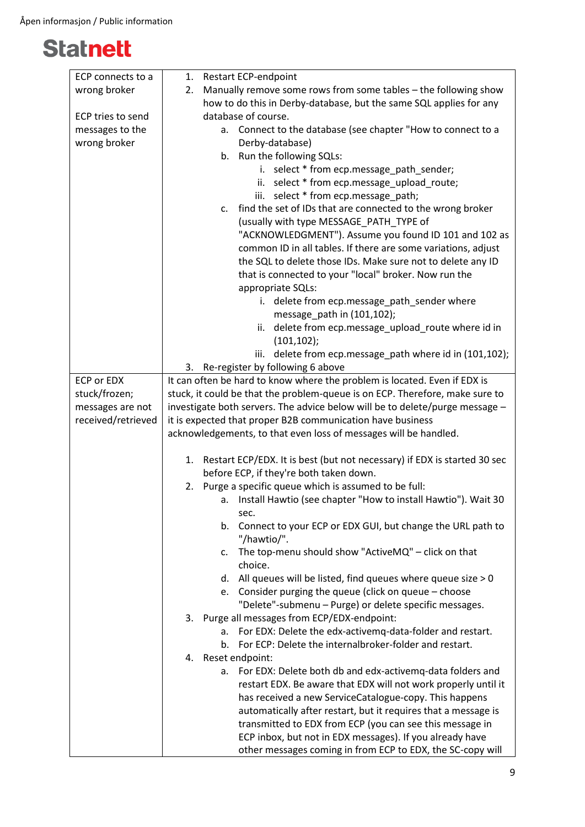| ECP connects to a  | <b>Restart ECP-endpoint</b><br>1.                                              |
|--------------------|--------------------------------------------------------------------------------|
| wrong broker       | Manually remove some rows from some tables - the following show<br>2.          |
|                    | how to do this in Derby-database, but the same SQL applies for any             |
| ECP tries to send  | database of course.                                                            |
| messages to the    | Connect to the database (see chapter "How to connect to a<br>а.                |
| wrong broker       | Derby-database)                                                                |
|                    | b. Run the following SQLs:                                                     |
|                    | i. select * from ecp.message_path_sender;                                      |
|                    | ii. select * from ecp.message_upload_route;                                    |
|                    | iii. select * from ecp.message_path;                                           |
|                    | find the set of IDs that are connected to the wrong broker<br>c.               |
|                    | (usually with type MESSAGE_PATH_TYPE of                                        |
|                    | "ACKNOWLEDGMENT"). Assume you found ID 101 and 102 as                          |
|                    | common ID in all tables. If there are some variations, adjust                  |
|                    | the SQL to delete those IDs. Make sure not to delete any ID                    |
|                    | that is connected to your "local" broker. Now run the                          |
|                    | appropriate SQLs:                                                              |
|                    | i. delete from ecp.message_path_sender where                                   |
|                    | message_path in (101,102);                                                     |
|                    | delete from ecp.message_upload_route where id in<br>ii.                        |
|                    | (101, 102);                                                                    |
|                    | delete from ecp.message_path where id in (101,102);<br>iii.                    |
|                    | Re-register by following 6 above<br>3.                                         |
| <b>ECP or EDX</b>  | It can often be hard to know where the problem is located. Even if EDX is      |
| stuck/frozen;      | stuck, it could be that the problem-queue is on ECP. Therefore, make sure to   |
| messages are not   | investigate both servers. The advice below will be to delete/purge message -   |
| received/retrieved | it is expected that proper B2B communication have business                     |
|                    | acknowledgements, to that even loss of messages will be handled.               |
|                    |                                                                                |
|                    | Restart ECP/EDX. It is best (but not necessary) if EDX is started 30 sec<br>1. |
|                    | before ECP, if they're both taken down.                                        |
|                    | Purge a specific queue which is assumed to be full:<br>2.                      |
|                    | Install Hawtio (see chapter "How to install Hawtio"). Wait 30<br>а.            |
|                    | sec.                                                                           |
|                    | Connect to your ECP or EDX GUI, but change the URL path to<br>$b_{\cdot}$      |
|                    | "/hawtio/".                                                                    |
|                    | The top-menu should show "ActiveMQ" - click on that<br>c.                      |
|                    | choice.                                                                        |
|                    | All queues will be listed, find queues where queue size > 0<br>d.              |
|                    | e. Consider purging the queue (click on queue - choose                         |
|                    | "Delete"-submenu - Purge) or delete specific messages.                         |
|                    | Purge all messages from ECP/EDX-endpoint:<br>3.                                |
|                    | For EDX: Delete the edx-activemq-data-folder and restart.<br>a.                |
|                    | For ECP: Delete the internalbroker-folder and restart.<br>b.                   |
|                    | Reset endpoint:<br>4.                                                          |
|                    | For EDX: Delete both db and edx-activemg-data folders and<br>a.                |
|                    | restart EDX. Be aware that EDX will not work properly until it                 |
|                    | has received a new ServiceCatalogue-copy. This happens                         |
|                    | automatically after restart, but it requires that a message is                 |
|                    | transmitted to EDX from ECP (you can see this message in                       |
|                    | ECP inbox, but not in EDX messages). If you already have                       |
|                    | other messages coming in from ECP to EDX, the SC-copy will                     |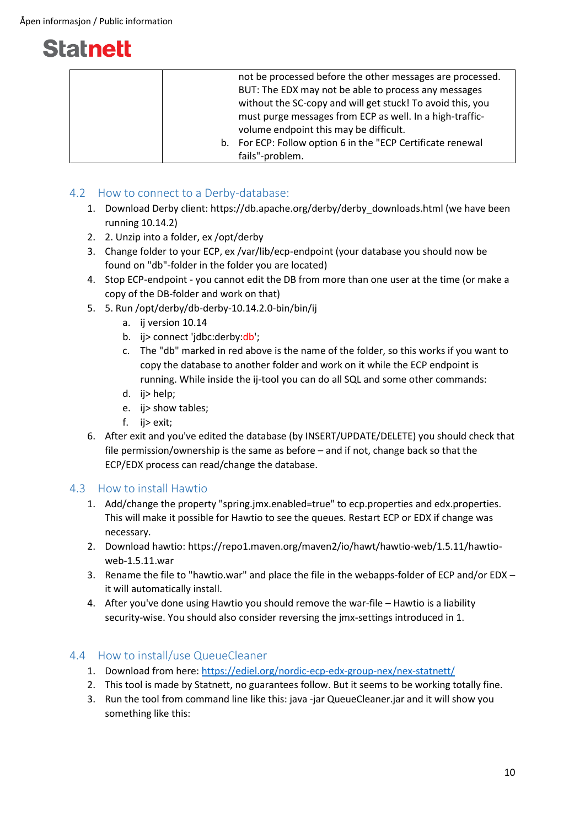| not be processed before the other messages are processed.   |
|-------------------------------------------------------------|
| BUT: The EDX may not be able to process any messages        |
| without the SC-copy and will get stuck! To avoid this, you  |
| must purge messages from ECP as well. In a high-traffic-    |
| volume endpoint this may be difficult.                      |
| b. For ECP: Follow option 6 in the "ECP Certificate renewal |
| fails"-problem.                                             |

### <span id="page-9-0"></span>4.2 How to connect to a Derby-database:

- 1. Download Derby client: https://db.apache.org/derby/derby\_downloads.html (we have been running 10.14.2)
- 2. 2. Unzip into a folder, ex /opt/derby
- 3. Change folder to your ECP, ex /var/lib/ecp-endpoint (your database you should now be found on "db"-folder in the folder you are located)
- 4. Stop ECP-endpoint you cannot edit the DB from more than one user at the time (or make a copy of the DB-folder and work on that)
- 5. 5. Run /opt/derby/db-derby-10.14.2.0-bin/bin/ij
	- a. ij version 10.14
	- b. ij> connect 'jdbc:derby:db';
	- c. The "db" marked in red above is the name of the folder, so this works if you want to copy the database to another folder and work on it while the ECP endpoint is running. While inside the ij-tool you can do all SQL and some other commands:
	- d. ij> help;
	- e. ij> show tables;
	- f. ij> exit;
- 6. After exit and you've edited the database (by INSERT/UPDATE/DELETE) you should check that file permission/ownership is the same as before – and if not, change back so that the ECP/EDX process can read/change the database.

#### <span id="page-9-1"></span>4.3 How to install Hawtio

- 1. Add/change the property "spring.jmx.enabled=true" to ecp.properties and edx.properties. This will make it possible for Hawtio to see the queues. Restart ECP or EDX if change was necessary.
- 2. Download hawtio: https://repo1.maven.org/maven2/io/hawt/hawtio-web/1.5.11/hawtioweb-1.5.11.war
- 3. Rename the file to "hawtio.war" and place the file in the webapps-folder of ECP and/or EDX it will automatically install.
- 4. After you've done using Hawtio you should remove the war-file Hawtio is a liability security-wise. You should also consider reversing the jmx-settings introduced in 1.

#### <span id="page-9-2"></span>4.4 How to install/use QueueCleaner

- 1. Download from here:<https://ediel.org/nordic-ecp-edx-group-nex/nex-statnett/>
- 2. This tool is made by Statnett, no guarantees follow. But it seems to be working totally fine.
- 3. Run the tool from command line like this: java -jar QueueCleaner.jar and it will show you something like this: